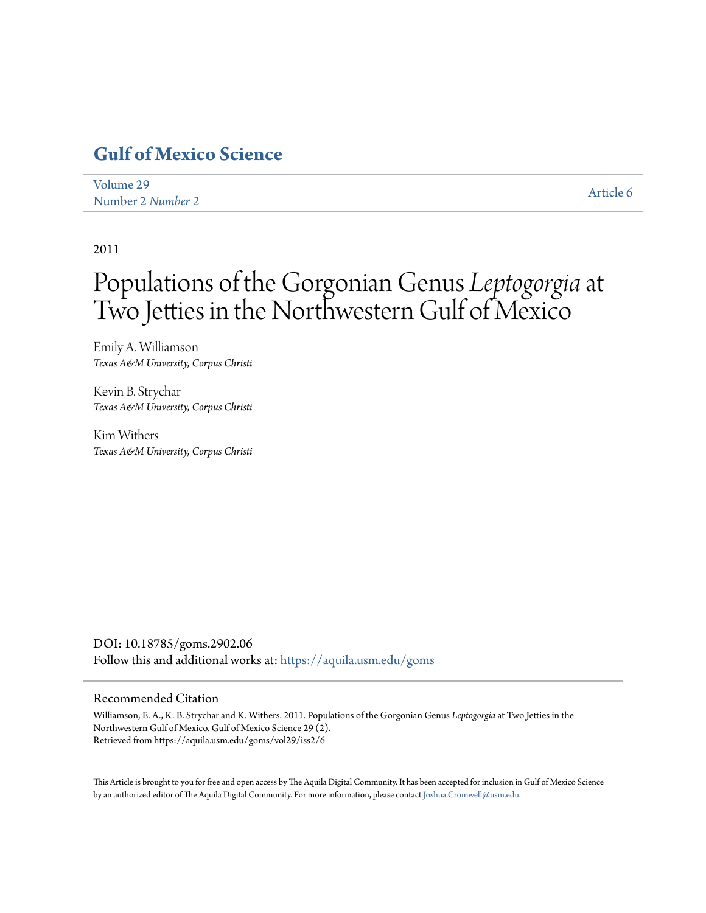## **[Gulf of Mexico Science](https://aquila.usm.edu/goms?utm_source=aquila.usm.edu%2Fgoms%2Fvol29%2Fiss2%2F6&utm_medium=PDF&utm_campaign=PDFCoverPages)**

| Volume 29         | Article 6 |
|-------------------|-----------|
| Number 2 Number 2 |           |

2011

# Populations of the Gorgonian Genus *Leptogorgia*at Two Jetties in the Northwestern Gulf of Mexico

Emily A. Williamson *Texas A&M University, Corpus Christi*

Kevin B. Strychar *Texas A&M University, Corpus Christi*

Kim Withers *Texas A&M University, Corpus Christi*

DOI: 10.18785/goms.2902.06 Follow this and additional works at: [https://aquila.usm.edu/goms](https://aquila.usm.edu/goms?utm_source=aquila.usm.edu%2Fgoms%2Fvol29%2Fiss2%2F6&utm_medium=PDF&utm_campaign=PDFCoverPages)

#### Recommended Citation

Williamson, E. A., K. B. Strychar and K. Withers. 2011. Populations of the Gorgonian Genus *Leptogorgia* at Two Jetties in the Northwestern Gulf of Mexico. Gulf of Mexico Science 29 (2). Retrieved from https://aquila.usm.edu/goms/vol29/iss2/6

This Article is brought to you for free and open access by The Aquila Digital Community. It has been accepted for inclusion in Gulf of Mexico Science by an authorized editor of The Aquila Digital Community. For more information, please contact [Joshua.Cromwell@usm.edu](mailto:Joshua.Cromwell@usm.edu).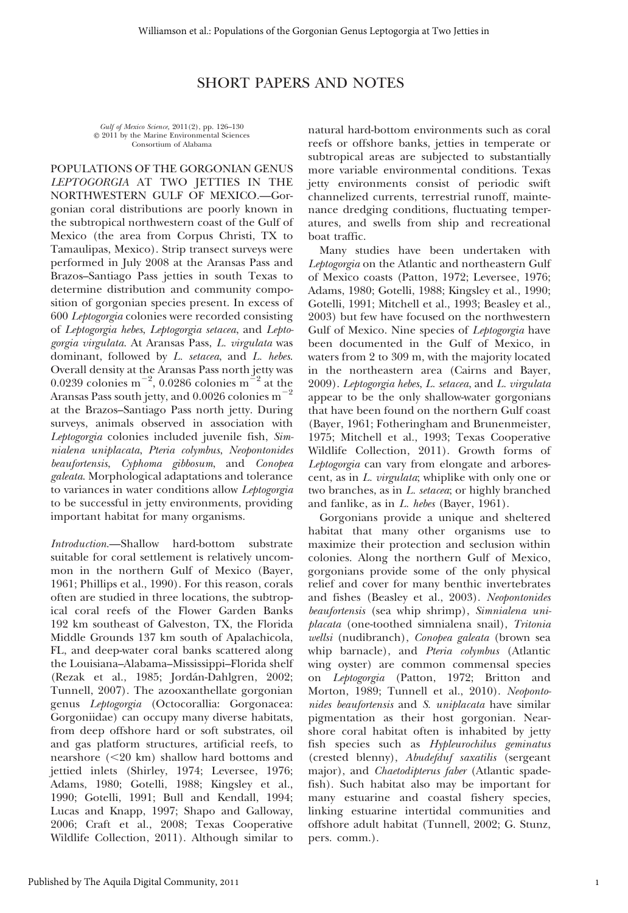### SHORT PAPERS AND NOTES

Gulf of Mexico Science, 2011(2), pp. 126–130  $© 2011$  by the Marine Environmental Sciences Consortium of Alabama

POPULATIONS OF THE GORGONIAN GENUS LEPTOGORGIA AT TWO JETTIES IN THE NORTHWESTERN GULF OF MEXICO.—Gorgonian coral distributions are poorly known in the subtropical northwestern coast of the Gulf of Mexico (the area from Corpus Christi, TX to Tamaulipas, Mexico). Strip transect surveys were performed in July 2008 at the Aransas Pass and Brazos–Santiago Pass jetties in south Texas to determine distribution and community composition of gorgonian species present. In excess of 600 Leptogorgia colonies were recorded consisting of Leptogorgia hebes, Leptogorgia setacea, and Leptogorgia virgulata. At Aransas Pass, L. virgulata was dominant, followed by L. setacea, and L. hebes. Overall density at the Aransas Pass north jetty was 0.0239 colonies m<sup>-2</sup>, 0.0286 colonies m<sup>-2</sup> at the Aransas Pass south jetty, and 0.0026 colonies  $\mathrm{m}^{-2}$ at the Brazos–Santiago Pass north jetty. During surveys, animals observed in association with Leptogorgia colonies included juvenile fish, Simnialena uniplacata, Pteria colymbus, Neopontonides beaufortensis, Cyphoma gibbosum, and Conopea galeata. Morphological adaptations and tolerance to variances in water conditions allow Leptogorgia to be successful in jetty environments, providing important habitat for many organisms.

Introduction.—Shallow hard-bottom substrate suitable for coral settlement is relatively uncommon in the northern Gulf of Mexico (Bayer, 1961; Phillips et al., 1990). For this reason, corals often are studied in three locations, the subtropical coral reefs of the Flower Garden Banks 192 km southeast of Galveston, TX, the Florida Middle Grounds 137 km south of Apalachicola, FL, and deep-water coral banks scattered along the Louisiana–Alabama–Mississippi–Florida shelf (Rezak et al., 1985; Jordán-Dahlgren, 2002; Tunnell, 2007). The azooxanthellate gorgonian genus Leptogorgia (Octocorallia: Gorgonacea: Gorgoniidae) can occupy many diverse habitats, from deep offshore hard or soft substrates, oil and gas platform structures, artificial reefs, to nearshore  $(<20 \text{ km})$  shallow hard bottoms and jettied inlets (Shirley, 1974; Leversee, 1976; Adams, 1980; Gotelli, 1988; Kingsley et al., 1990; Gotelli, 1991; Bull and Kendall, 1994; Lucas and Knapp, 1997; Shapo and Galloway, 2006; Craft et al., 2008; Texas Cooperative Wildlife Collection, 2011). Although similar to

natural hard-bottom environments such as coral reefs or offshore banks, jetties in temperate or subtropical areas are subjected to substantially more variable environmental conditions. Texas jetty environments consist of periodic swift channelized currents, terrestrial runoff, maintenance dredging conditions, fluctuating temperatures, and swells from ship and recreational boat traffic.

Many studies have been undertaken with Leptogorgia on the Atlantic and northeastern Gulf of Mexico coasts (Patton, 1972; Leversee, 1976; Adams, 1980; Gotelli, 1988; Kingsley et al., 1990; Gotelli, 1991; Mitchell et al., 1993; Beasley et al., 2003) but few have focused on the northwestern Gulf of Mexico. Nine species of Leptogorgia have been documented in the Gulf of Mexico, in waters from 2 to 309 m, with the majority located in the northeastern area (Cairns and Bayer, 2009). Leptogorgia hebes, L. setacea, and L. virgulata appear to be the only shallow-water gorgonians that have been found on the northern Gulf coast (Bayer, 1961; Fotheringham and Brunenmeister, 1975; Mitchell et al., 1993; Texas Cooperative Wildlife Collection, 2011). Growth forms of Leptogorgia can vary from elongate and arborescent, as in L. virgulata; whiplike with only one or two branches, as in L. setacea; or highly branched and fanlike, as in L. hebes (Bayer, 1961).

Gorgonians provide a unique and sheltered habitat that many other organisms use to maximize their protection and seclusion within colonies. Along the northern Gulf of Mexico, gorgonians provide some of the only physical relief and cover for many benthic invertebrates and fishes (Beasley et al., 2003). Neopontonides beaufortensis (sea whip shrimp), Simnialena uniplacata (one-toothed simnialena snail), Tritonia wellsi (nudibranch), Conopea galeata (brown sea whip barnacle), and Pteria colymbus (Atlantic wing oyster) are common commensal species on Leptogorgia (Patton, 1972; Britton and Morton, 1989; Tunnell et al., 2010). Neopontonides beaufortensis and S. uniplacata have similar pigmentation as their host gorgonian. Nearshore coral habitat often is inhabited by jetty fish species such as Hypleurochilus geminatus (crested blenny), Abudefduf saxatilis (sergeant major), and *Chaetodipterus faber* (Atlantic spadefish). Such habitat also may be important for many estuarine and coastal fishery species, linking estuarine intertidal communities and offshore adult habitat (Tunnell, 2002; G. Stunz, pers. comm.).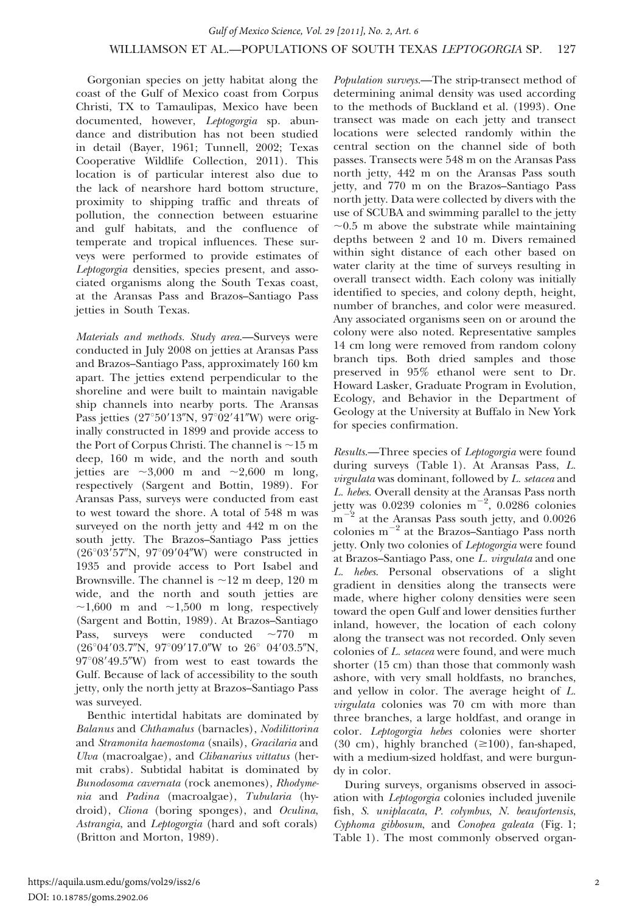Gorgonian species on jetty habitat along the coast of the Gulf of Mexico coast from Corpus Christi, TX to Tamaulipas, Mexico have been documented, however, Leptogorgia sp. abundance and distribution has not been studied in detail (Bayer, 1961; Tunnell, 2002; Texas Cooperative Wildlife Collection, 2011). This location is of particular interest also due to the lack of nearshore hard bottom structure, proximity to shipping traffic and threats of pollution, the connection between estuarine and gulf habitats, and the confluence of temperate and tropical influences. These surveys were performed to provide estimates of Leptogorgia densities, species present, and associated organisms along the South Texas coast, at the Aransas Pass and Brazos–Santiago Pass jetties in South Texas.

Materials and methods. Study area.—Surveys were conducted in July 2008 on jetties at Aransas Pass and Brazos–Santiago Pass, approximately 160 km apart. The jetties extend perpendicular to the shoreline and were built to maintain navigable ship channels into nearby ports. The Aransas Pass jetties  $(27°50'13''N, 97°02'41''W)$  were originally constructed in 1899 and provide access to the Port of Corpus Christi. The channel is  $\sim$ 15 m deep, 160 m wide, and the north and south jetties are  $\sim 3,000$  m and  $\sim 2,600$  m long, respectively (Sargent and Bottin, 1989). For Aransas Pass, surveys were conducted from east to west toward the shore. A total of 548 m was surveyed on the north jetty and 442 m on the south jetty. The Brazos–Santiago Pass jetties ( $26^{\circ}03'57''N$ ,  $97^{\circ}09'04''W$ ) were constructed in 1935 and provide access to Port Isabel and Brownsville. The channel is  $\sim$ 12 m deep, 120 m wide, and the north and south jetties are  $\sim$ 1,600 m and  $\sim$ 1,500 m long, respectively (Sargent and Bottin, 1989). At Brazos–Santiago Pass, surveys were conducted  $\sim$ 770 m  $(26°04'03.7"N, 97°09'17.0"W to 26°04'03.5"N,$  $97^{\circ}08'49.5''$ W) from west to east towards the Gulf. Because of lack of accessibility to the south jetty, only the north jetty at Brazos–Santiago Pass was surveyed.

Benthic intertidal habitats are dominated by Balanus and Chthamalus (barnacles), Nodilittorina and Stramonita haemostoma (snails), Gracilaria and Ulva (macroalgae), and *Clibanarius vittatus* (hermit crabs). Subtidal habitat is dominated by Bunodosoma cavernata (rock anemones), Rhodymenia and Padina (macroalgae), Tubularia (hydroid), Cliona (boring sponges), and Oculina, Astrangia, and Leptogorgia (hard and soft corals) (Britton and Morton, 1989).

Population surveys.—The strip-transect method of determining animal density was used according to the methods of Buckland et al. (1993). One transect was made on each jetty and transect locations were selected randomly within the central section on the channel side of both passes. Transects were 548 m on the Aransas Pass north jetty, 442 m on the Aransas Pass south jetty, and 770 m on the Brazos–Santiago Pass north jetty. Data were collected by divers with the use of SCUBA and swimming parallel to the jetty  $\sim$ 0.5 m above the substrate while maintaining depths between 2 and 10 m. Divers remained within sight distance of each other based on water clarity at the time of surveys resulting in overall transect width. Each colony was initially identified to species, and colony depth, height, number of branches, and color were measured. Any associated organisms seen on or around the colony were also noted. Representative samples 14 cm long were removed from random colony branch tips. Both dried samples and those preserved in 95% ethanol were sent to Dr. Howard Lasker, Graduate Program in Evolution, Ecology, and Behavior in the Department of Geology at the University at Buffalo in New York for species confirmation.

Results.—Three species of Leptogorgia were found during surveys (Table 1). At Aransas Pass, L. virgulata was dominant, followed by L. setacea and L. hebes. Overall density at the Aransas Pass north jetty was  $0.0239$  colonies  $m^{-2}$ ,  $0.0286$  colonies  $\mathrm{m}^{-2}$  at the Aransas Pass south jetty, and 0.0026 colonies  $m^{-2}$  at the Brazos–Santiago Pass north jetty. Only two colonies of Leptogorgia were found at Brazos–Santiago Pass, one L. virgulata and one L. hebes. Personal observations of a slight gradient in densities along the transects were made, where higher colony densities were seen toward the open Gulf and lower densities further inland, however, the location of each colony along the transect was not recorded. Only seven colonies of L. setacea were found, and were much shorter (15 cm) than those that commonly wash ashore, with very small holdfasts, no branches, and yellow in color. The average height of L. virgulata colonies was 70 cm with more than three branches, a large holdfast, and orange in color. Leptogorgia hebes colonies were shorter (30 cm), highly branched  $(\geq 100)$ , fan-shaped, with a medium-sized holdfast, and were burgundy in color.

During surveys, organisms observed in association with Leptogorgia colonies included juvenile fish, S. uniplacata, P. colymbus, N. beaufortensis, Cyphoma gibbosum, and Conopea galeata (Fig. 1; Table 1). The most commonly observed organ-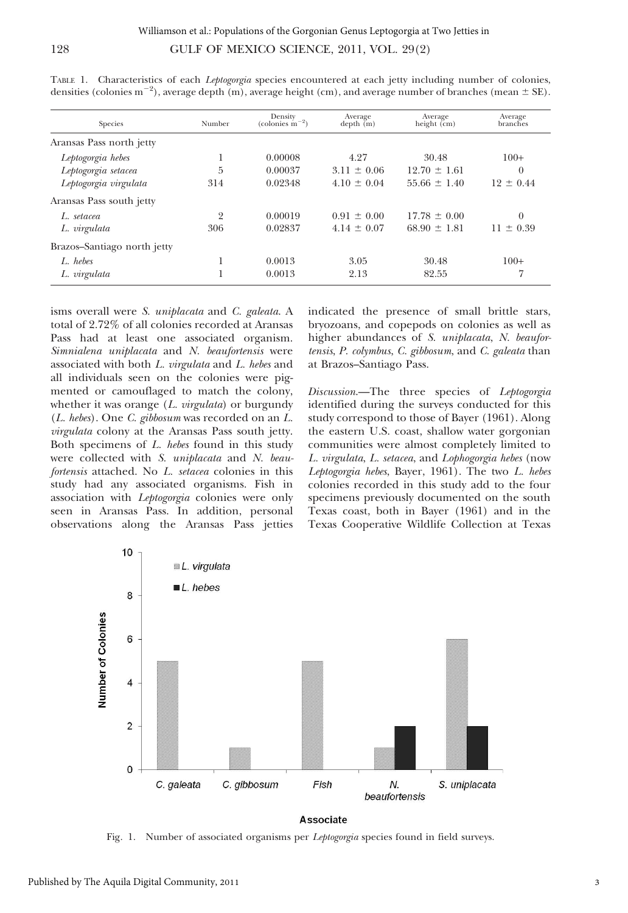| O |  |  |  |
|---|--|--|--|
|   |  |  |  |
|   |  |  |  |

| Species                     | Number | Density<br>(colonies $m^{-2}$ ) | Average<br>depth(m) | Average<br>height $\overline{(cm)}$ | Average<br>branches |
|-----------------------------|--------|---------------------------------|---------------------|-------------------------------------|---------------------|
| Aransas Pass north jetty    |        |                                 |                     |                                     |                     |
| Leptogorgia hebes           |        | 0.00008                         | 4.27                | 30.48                               | $100+$              |
| Leptogorgia setacea         | 5      | 0.00037                         | $3.11 \pm 0.06$     | $12.70 \pm 1.61$                    | $\theta$            |
| Leptogorgia virgulata       | 314    | 0.02348                         | $4.10 \pm 0.04$     | $55.66 \pm 1.40$                    | $12 \pm 0.44$       |
| Aransas Pass south jetty    |        |                                 |                     |                                     |                     |
| L. setacea                  | 2      | 0.00019                         | $0.91 \pm 0.00$     | $17.78 \pm 0.00$                    | $\Omega$            |
| L. virgulata                | 306    | 0.02837                         | $4.14 \pm 0.07$     | $68.90 \pm 1.81$                    | $11 \pm 0.39$       |
| Brazos-Santiago north jetty |        |                                 |                     |                                     |                     |
| L. hebes                    |        | 0.0013                          | 3.05                | 30.48                               | $100+$              |
| L. virgulata                |        | 0.0013                          | 2.13                | 82.55                               | 7                   |

TABLE 1. Characteristics of each *Leptogorgia* species encountered at each jetty including number of colonies, densities (colonies m<sup>-2</sup>), average depth (m), average height (cm), and average number of branches (mean  $\pm$  SE).

isms overall were S. uniplacata and C. galeata. A total of 2.72% of all colonies recorded at Aransas Pass had at least one associated organism. Simnialena uniplacata and N. beaufortensis were associated with both L. virgulata and L. hebes and all individuals seen on the colonies were pigmented or camouflaged to match the colony, whether it was orange  $(L. \text{ virgulata})$  or burgundy (L. hebes). One C. gibbosum was recorded on an L. virgulata colony at the Aransas Pass south jetty. Both specimens of L. hebes found in this study were collected with S. uniplacata and N. beaufortensis attached. No L. setacea colonies in this study had any associated organisms. Fish in association with Leptogorgia colonies were only seen in Aransas Pass. In addition, personal observations along the Aransas Pass jetties

indicated the presence of small brittle stars, bryozoans, and copepods on colonies as well as higher abundances of S. uniplacata, N. beaufortensis, P. colymbus, C. gibbosum, and C. galeata than at Brazos–Santiago Pass.

Discussion.—The three species of Leptogorgia identified during the surveys conducted for this study correspond to those of Bayer (1961). Along the eastern U.S. coast, shallow water gorgonian communities were almost completely limited to L. virgulata, L. setacea, and Lophogorgia hebes (now Leptogorgia hebes, Bayer, 1961). The two L. hebes colonies recorded in this study add to the four specimens previously documented on the south Texas coast, both in Bayer (1961) and in the Texas Cooperative Wildlife Collection at Texas



Associate

Fig. 1. Number of associated organisms per Leptogorgia species found in field surveys.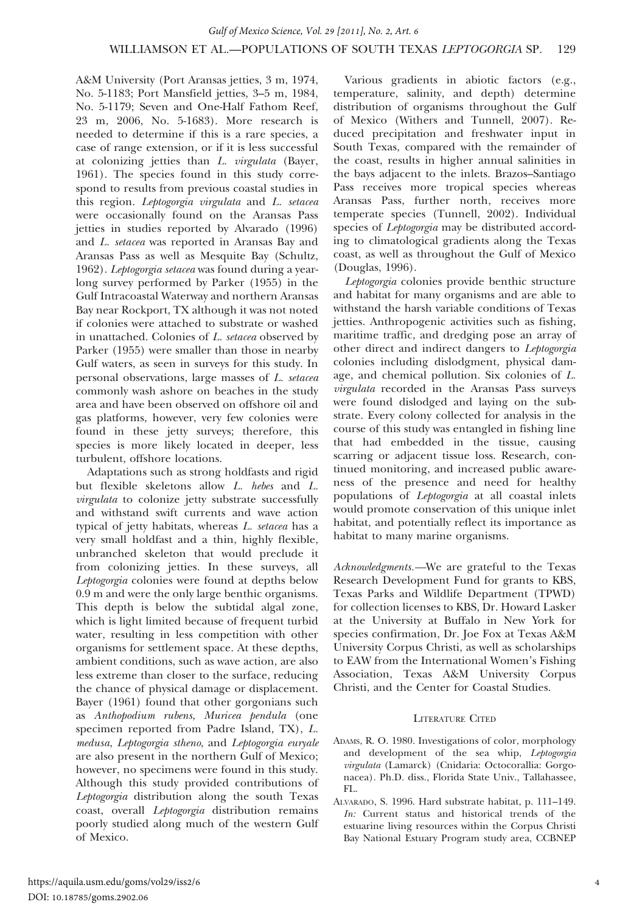A&M University (Port Aransas jetties, 3 m, 1974, No. 5-1183; Port Mansfield jetties, 3–5 m, 1984, No. 5-1179; Seven and One-Half Fathom Reef, 23 m, 2006, No. 5-1683). More research is needed to determine if this is a rare species, a case of range extension, or if it is less successful at colonizing jetties than L. virgulata (Bayer, 1961). The species found in this study correspond to results from previous coastal studies in this region. Leptogorgia virgulata and L. setacea were occasionally found on the Aransas Pass jetties in studies reported by Alvarado (1996) and L. setacea was reported in Aransas Bay and Aransas Pass as well as Mesquite Bay (Schultz, 1962). Leptogorgia setacea was found during a yearlong survey performed by Parker (1955) in the Gulf Intracoastal Waterway and northern Aransas Bay near Rockport, TX although it was not noted if colonies were attached to substrate or washed in unattached. Colonies of L. setacea observed by Parker (1955) were smaller than those in nearby Gulf waters, as seen in surveys for this study. In personal observations, large masses of L. setacea commonly wash ashore on beaches in the study area and have been observed on offshore oil and gas platforms, however, very few colonies were found in these jetty surveys; therefore, this species is more likely located in deeper, less turbulent, offshore locations.

Adaptations such as strong holdfasts and rigid but flexible skeletons allow L. hebes and L. virgulata to colonize jetty substrate successfully and withstand swift currents and wave action typical of jetty habitats, whereas L. setacea has a very small holdfast and a thin, highly flexible, unbranched skeleton that would preclude it from colonizing jetties. In these surveys, all Leptogorgia colonies were found at depths below 0.9 m and were the only large benthic organisms. This depth is below the subtidal algal zone, which is light limited because of frequent turbid water, resulting in less competition with other organisms for settlement space. At these depths, ambient conditions, such as wave action, are also less extreme than closer to the surface, reducing the chance of physical damage or displacement. Bayer (1961) found that other gorgonians such as Anthopodium rubens, Muricea pendula (one specimen reported from Padre Island, TX), L. medusa, Leptogorgia stheno, and Leptogorgia euryale are also present in the northern Gulf of Mexico; however, no specimens were found in this study. Although this study provided contributions of Leptogorgia distribution along the south Texas coast, overall Leptogorgia distribution remains poorly studied along much of the western Gulf of Mexico.

Various gradients in abiotic factors (e.g., temperature, salinity, and depth) determine distribution of organisms throughout the Gulf of Mexico (Withers and Tunnell, 2007). Reduced precipitation and freshwater input in South Texas, compared with the remainder of the coast, results in higher annual salinities in the bays adjacent to the inlets. Brazos–Santiago Pass receives more tropical species whereas Aransas Pass, further north, receives more temperate species (Tunnell, 2002). Individual species of *Leptogorgia* may be distributed according to climatological gradients along the Texas coast, as well as throughout the Gulf of Mexico (Douglas, 1996).

Leptogorgia colonies provide benthic structure and habitat for many organisms and are able to withstand the harsh variable conditions of Texas jetties. Anthropogenic activities such as fishing, maritime traffic, and dredging pose an array of other direct and indirect dangers to Leptogorgia colonies including dislodgment, physical damage, and chemical pollution. Six colonies of L. virgulata recorded in the Aransas Pass surveys were found dislodged and laying on the substrate. Every colony collected for analysis in the course of this study was entangled in fishing line that had embedded in the tissue, causing scarring or adjacent tissue loss. Research, continued monitoring, and increased public awareness of the presence and need for healthy populations of Leptogorgia at all coastal inlets would promote conservation of this unique inlet habitat, and potentially reflect its importance as habitat to many marine organisms.

Acknowledgments.—We are grateful to the Texas Research Development Fund for grants to KBS, Texas Parks and Wildlife Department (TPWD) for collection licenses to KBS, Dr. Howard Lasker at the University at Buffalo in New York for species confirmation, Dr. Joe Fox at Texas A&M University Corpus Christi, as well as scholarships to EAW from the International Women's Fishing Association, Texas A&M University Corpus Christi, and the Center for Coastal Studies.

#### LITERATURE CITED

- ADAMS, R. O. 1980. Investigations of color, morphology and development of the sea whip, Leptogorgia virgulata (Lamarck) (Cnidaria: Octocorallia: Gorgonacea). Ph.D. diss., Florida State Univ., Tallahassee,  $FI$ .
- ALVARADO, S. 1996. Hard substrate habitat, p. 111–149. In: Current status and historical trends of the estuarine living resources within the Corpus Christi Bay National Estuary Program study area, CCBNEP